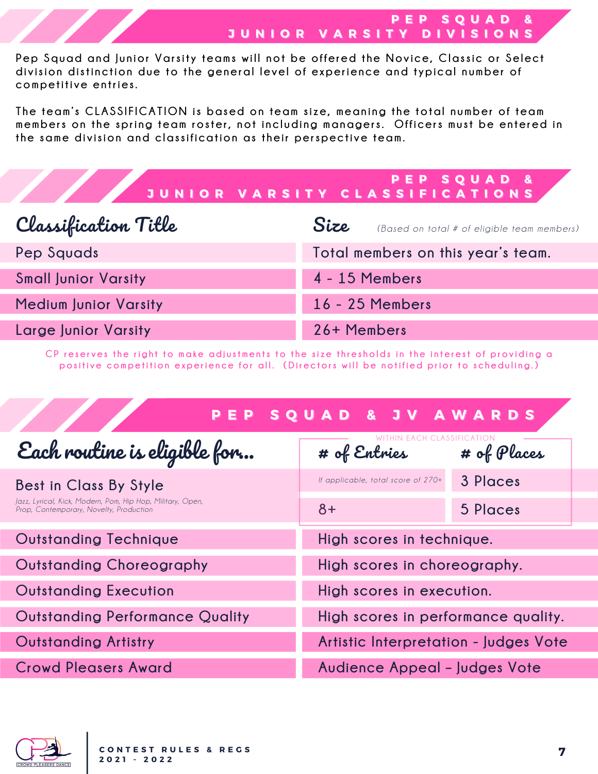Pep Squad and Junior Varsity teams will not be offered the Novice, Classic or Select division distinction due to the general level of experience and typical number of **competiti ve en tries.**

The team's CLASSIFICATION is based on team size, meaning the total number of team members on the spring team roster, not including managers. Officers must be entered in **t he same di v ision and c lassi f i cation as t heir perspec ti ve team.**

|                              | PEP SQUAD &<br>JUNIOR VARSITY CLASSIFICATIONS       |  |
|------------------------------|-----------------------------------------------------|--|
| Classification Title         | Size<br>(Based on total # of eligible team members) |  |
| Pep Squads                   | Total members on this year's team.                  |  |
| <b>Small Junior Varsity</b>  | 4 - 15 Members                                      |  |
| <b>Medium Junior Varsity</b> | 16 - 25 Members                                     |  |
| <b>Large Junior Varsity</b>  | 26+ Members                                         |  |

CP reserves the right to make adjustments to the size thresholds in the interest of providing a positive competition experience for all. (Directors will be notified prior to scheduling.)

| E P<br>P.                                                                                                                       | SQUAD & JV AWARDS                     |             |
|---------------------------------------------------------------------------------------------------------------------------------|---------------------------------------|-------------|
| Each routine is eligible for                                                                                                    | # of Entnies                          | # of Places |
| Best in Class By Style<br>Jazz, Lyrical, Kick, Modern, Pom, Hip Hop, Military, Open,<br>Prop, Contemporary, Novelty, Production | If applicable, total score of 270+    | 3 Places    |
|                                                                                                                                 | $8+$                                  | 5 Places    |
| <b>Outstanding Technique</b>                                                                                                    | High scores in technique.             |             |
| Outstanding Choreography                                                                                                        | High scores in choreography.          |             |
| <b>Outstanding Execution</b>                                                                                                    | High scores in execution.             |             |
| <b>Outstanding Performance Quality</b>                                                                                          | High scores in performance quality.   |             |
| <b>Outstanding Artistry</b>                                                                                                     | Artistic Interpretation - Judges Vote |             |
| <b>Crowd Pleasers Award</b>                                                                                                     | Audience Appeal - Judges Vote         |             |